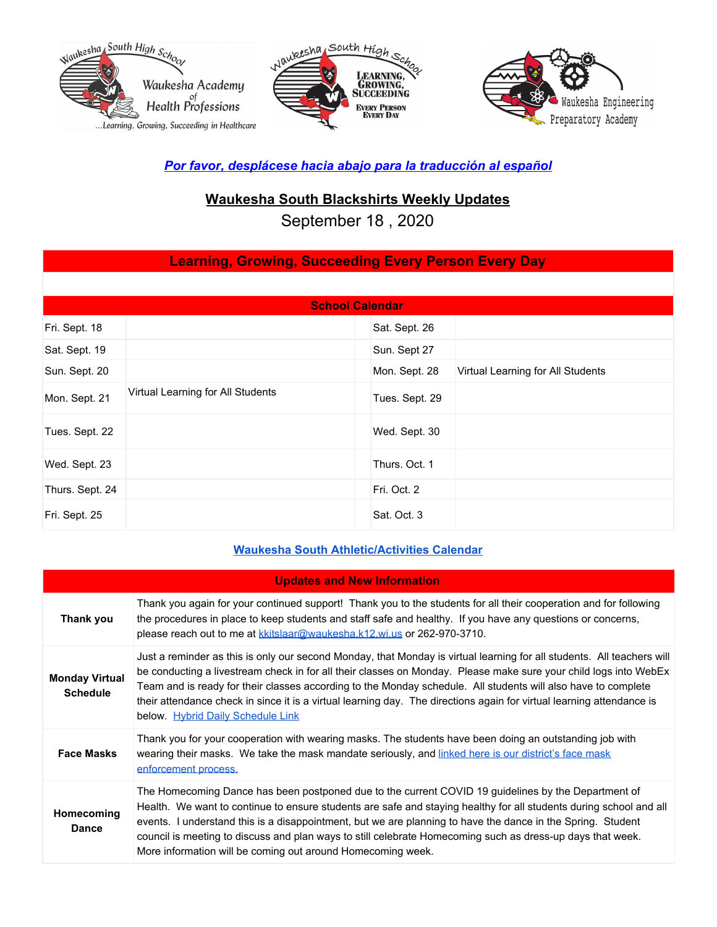





### *Por favor, desplácese hacia abajo para la traducción al español*

## **Waukesha South Blackshirts Weekly Updates**

September 18 , 2020

# **Learning, Growing, Succeeding Every Person Every Day**

| <b>School Calendar</b> |                                   |                |                                   |
|------------------------|-----------------------------------|----------------|-----------------------------------|
| Fri. Sept. 18          |                                   | Sat. Sept. 26  |                                   |
| Sat. Sept. 19          |                                   | Sun. Sept 27   |                                   |
| Sun. Sept. 20          |                                   | Mon. Sept. 28  | Virtual Learning for All Students |
| Mon. Sept. 21          | Virtual Learning for All Students | Tues. Sept. 29 |                                   |
| Tues. Sept. 22         |                                   | Wed. Sept. 30  |                                   |
| Wed. Sept. 23          |                                   | Thurs. Oct. 1  |                                   |
| Thurs. Sept. 24        |                                   | Fri. Oct. 2    |                                   |
| Fri. Sept. 25          |                                   | Sat. Oct. 3    |                                   |

### **Waukesha South [Athletic/Activities](https://goblackshirts.com/) Calendar**

| <b>Updates and New Information</b>       |                                                                                                                                                                                                                                                                                                                                                                                                                                                                                                                           |
|------------------------------------------|---------------------------------------------------------------------------------------------------------------------------------------------------------------------------------------------------------------------------------------------------------------------------------------------------------------------------------------------------------------------------------------------------------------------------------------------------------------------------------------------------------------------------|
| Thank you                                | Thank you again for your continued support! Thank you to the students for all their cooperation and for following<br>the procedures in place to keep students and staff safe and healthy. If you have any questions or concerns,<br>please reach out to me at kkitslaar@waukesha.k12.wi.us or 262-970-3710.                                                                                                                                                                                                               |
| <b>Monday Virtual</b><br><b>Schedule</b> | Just a reminder as this is only our second Monday, that Monday is virtual learning for all students. All teachers will<br>be conducting a livestream check in for all their classes on Monday. Please make sure your child logs into WebEx<br>Team and is ready for their classes according to the Monday schedule. All students will also have to complete<br>their attendance check in since it is a virtual learning day. The directions again for virtual learning attendance is<br>below. Hybrid Daily Schedule Link |
| <b>Face Masks</b>                        | Thank you for your cooperation with wearing masks. The students have been doing an outstanding job with<br>wearing their masks. We take the mask mandate seriously, and linked here is our district's face mask<br>enforcement process.                                                                                                                                                                                                                                                                                   |
| Homecoming<br><b>Dance</b>               | The Homecoming Dance has been postponed due to the current COVID 19 guidelines by the Department of<br>Health. We want to continue to ensure students are safe and staying healthy for all students during school and all<br>events. I understand this is a disappointment, but we are planning to have the dance in the Spring. Student<br>council is meeting to discuss and plan ways to still celebrate Homecoming such as dress-up days that week.<br>More information will be coming out around Homecoming week.     |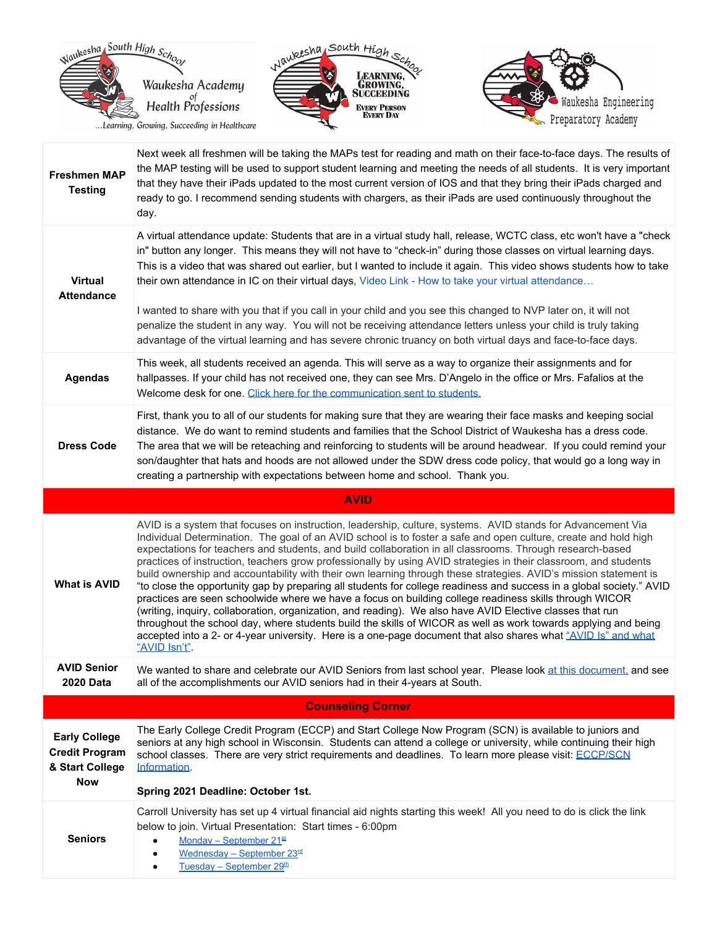





| <b>Freshmen MAP</b><br><b>Testing</b>                            | Next week all freshmen will be taking the MAPs test for reading and math on their face-to-face days. The results of<br>the MAP testing will be used to support student learning and meeting the needs of all students. It is very important<br>that they have their iPads updated to the most current version of IOS and that they bring their iPads charged and<br>ready to go. I recommend sending students with chargers, as their iPads are used continuously throughout the<br>day.                                                                                                        |
|------------------------------------------------------------------|-------------------------------------------------------------------------------------------------------------------------------------------------------------------------------------------------------------------------------------------------------------------------------------------------------------------------------------------------------------------------------------------------------------------------------------------------------------------------------------------------------------------------------------------------------------------------------------------------|
| <b>Virtual</b><br><b>Attendance</b>                              | A virtual attendance update: Students that are in a virtual study hall, release, WCTC class, etc won't have a "check<br>in" button any longer. This means they will not have to "check-in" during those classes on virtual learning days.<br>This is a video that was shared out earlier, but I wanted to include it again. This video shows students how to take<br>their own attendance in IC on their virtual days, Video Link - How to take your virtual attendance                                                                                                                         |
|                                                                  | I wanted to share with you that if you call in your child and you see this changed to NVP later on, it will not<br>penalize the student in any way. You will not be receiving attendance letters unless your child is truly taking<br>advantage of the virtual learning and has severe chronic truancy on both virtual days and face-to-face days.                                                                                                                                                                                                                                              |
| <b>Agendas</b>                                                   | This week, all students received an agenda. This will serve as a way to organize their assignments and for<br>hallpasses. If your child has not received one, they can see Mrs. D'Angelo in the office or Mrs. Fafalios at the<br>Welcome desk for one. Click here for the communication sent to students.                                                                                                                                                                                                                                                                                      |
| <b>Dress Code</b>                                                | First, thank you to all of our students for making sure that they are wearing their face masks and keeping social<br>distance. We do want to remind students and families that the School District of Waukesha has a dress code.<br>The area that we will be reteaching and reinforcing to students will be around headwear. If you could remind your<br>son/daughter that hats and hoods are not allowed under the SDW dress code policy, that would go a long way in<br>creating a partnership with expectations between home and school. Thank you.                                          |
|                                                                  | <b>AVID</b>                                                                                                                                                                                                                                                                                                                                                                                                                                                                                                                                                                                     |
|                                                                  | AVID is a system that focuses on instruction, leadership, culture, systems. AVID stands for Advancement Via<br>Individual Determination. The goal of an AVID school is to foster a safe and open culture, create and hold high<br>expectations for teachers and students, and build collaboration in all classrooms. Through research-based<br>practices of instruction, teachers grow professionally by using AVID strategies in their classroom, and students<br>build ownership and accountability with their own learning through these strategies. AVID's mission statement is             |
| <b>What is AVID</b>                                              | "to close the opportunity gap by preparing all students for college readiness and success in a global society." AVID<br>practices are seen schoolwide where we have a focus on building college readiness skills through WICOR<br>(writing, inquiry, collaboration, organization, and reading). We also have AVID Elective classes that run<br>throughout the school day, where students build the skills of WICOR as well as work towards applying and being<br>accepted into a 2- or 4-year university. Here is a one-page document that also shares what "AVID Is" and what<br>"AVID Isn't". |
| <b>AVID Senior</b><br><b>2020 Data</b>                           | We wanted to share and celebrate our AVID Seniors from last school year. Please look at this document, and see<br>all of the accomplishments our AVID seniors had in their 4-years at South.                                                                                                                                                                                                                                                                                                                                                                                                    |
|                                                                  | <b>Counseling Corner</b>                                                                                                                                                                                                                                                                                                                                                                                                                                                                                                                                                                        |
| <b>Early College</b><br><b>Credit Program</b><br>& Start College | The Early College Credit Program (ECCP) and Start College Now Program (SCN) is available to juniors and<br>seniors at any high school in Wisconsin. Students can attend a college or university, while continuing their high<br>school classes. There are very strict requirements and deadlines. To learn more please visit: ECCP/SCN<br>Information.                                                                                                                                                                                                                                          |
| <b>Now</b>                                                       | Spring 2021 Deadline: October 1st.                                                                                                                                                                                                                                                                                                                                                                                                                                                                                                                                                              |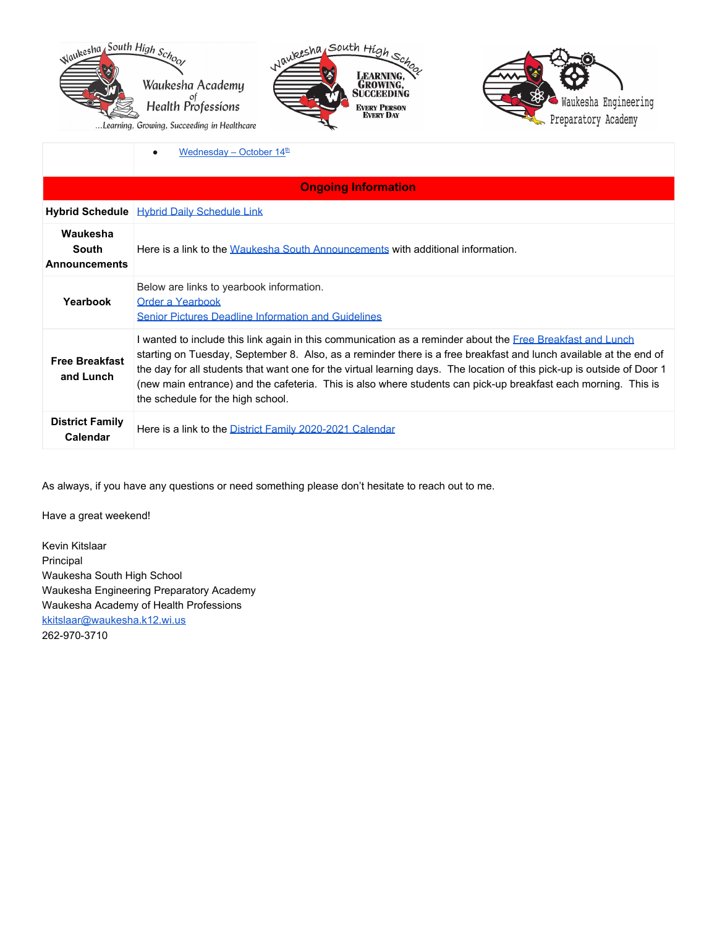

Learning, Growing, Succeeding in Healthcare





 $\bullet$  [Wednesday](https://my.carrollu.edu/ICS/Admission/Online_Information_Sessions.jnz?portlet=Online_Meetings&meeting=133) – October 14<sup>[th](https://my.carrollu.edu/ICS/Admission/Online_Information_Sessions.jnz?portlet=Online_Meetings&meeting=133)</sup>

|                                                  | <b>Ongoing Information</b>                                                                                                                                                                                                                                                                                                                                                                                                                                                                                               |
|--------------------------------------------------|--------------------------------------------------------------------------------------------------------------------------------------------------------------------------------------------------------------------------------------------------------------------------------------------------------------------------------------------------------------------------------------------------------------------------------------------------------------------------------------------------------------------------|
|                                                  | <b>Hybrid Schedule   Hybrid Daily Schedule Link</b>                                                                                                                                                                                                                                                                                                                                                                                                                                                                      |
| Waukesha<br><b>South</b><br><b>Announcements</b> | Here is a link to the Waukesha South Announcements with additional information.                                                                                                                                                                                                                                                                                                                                                                                                                                          |
| Yearbook                                         | Below are links to yearbook information.<br>Order a Yearbook<br><b>Senior Pictures Deadline Information and Guidelines</b>                                                                                                                                                                                                                                                                                                                                                                                               |
| <b>Free Breakfast</b><br>and Lunch               | I wanted to include this link again in this communication as a reminder about the <i>Free Breakfast and Lunch</i><br>starting on Tuesday, September 8. Also, as a reminder there is a free breakfast and lunch available at the end of<br>the day for all students that want one for the virtual learning days. The location of this pick-up is outside of Door 1<br>(new main entrance) and the cafeteria. This is also where students can pick-up breakfast each morning. This is<br>the schedule for the high school. |
| <b>District Family</b><br><b>Calendar</b>        | Here is a link to the District Family 2020-2021 Calendar                                                                                                                                                                                                                                                                                                                                                                                                                                                                 |

As always, if you have any questions or need something please don't hesitate to reach out to me.

Have a great weekend!

Kevin Kitslaar Principal Waukesha South High School Waukesha Engineering Preparatory Academy Waukesha Academy of Health Professions [kkitslaar@waukesha.k12.wi.us](mailto:kkitslaar@waukesha.k12.wi.us) 262-970-3710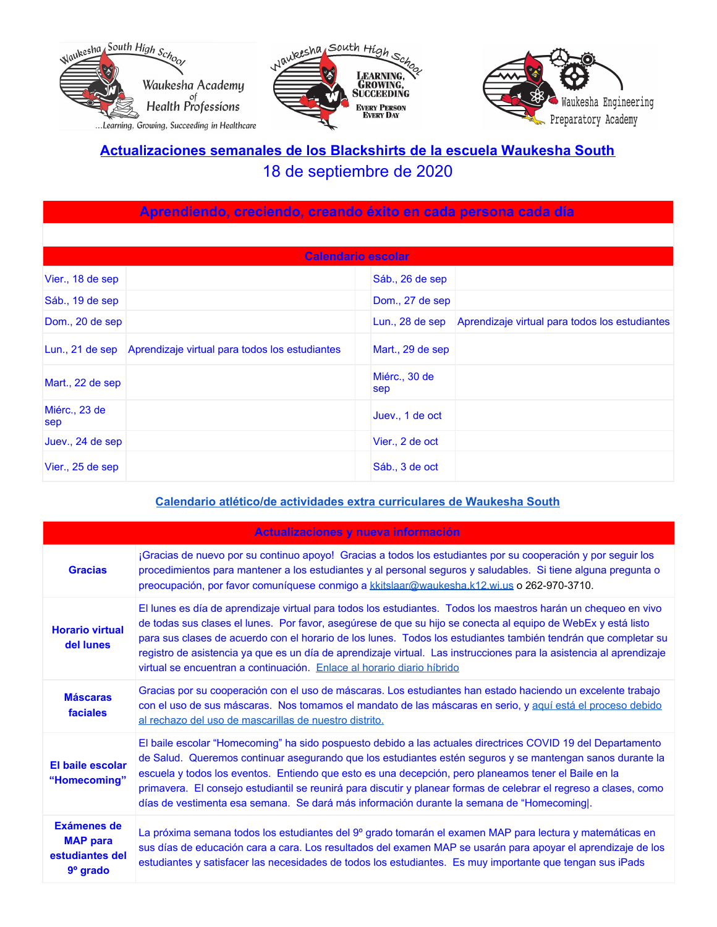





# **Actualizaciones semanales de los Blackshirts de la escuela Waukesha South** 18 de septiembre de 2020

| Aprendiendo, creciendo, creando éxito en cada persona cada día |                                                                |                      |                                                |
|----------------------------------------------------------------|----------------------------------------------------------------|----------------------|------------------------------------------------|
|                                                                |                                                                |                      |                                                |
| Calendario escolar                                             |                                                                |                      |                                                |
| Vier., 18 de sep                                               |                                                                | Sáb., 26 de sep      |                                                |
| Sáb., 19 de sep                                                |                                                                | Dom., 27 de sep      |                                                |
| Dom., 20 de sep                                                |                                                                | Lun., 28 de sep      | Aprendizaje virtual para todos los estudiantes |
|                                                                | Lun., 21 de sep Aprendizaje virtual para todos los estudiantes | Mart., 29 de sep     |                                                |
| Mart., 22 de sep                                               |                                                                | Miérc., 30 de<br>sep |                                                |
| Miérc., 23 de<br>sep                                           |                                                                | Juev., 1 de oct      |                                                |
| Juev., 24 de sep                                               |                                                                | Vier., 2 de oct      |                                                |
| Vier., 25 de sep                                               |                                                                | Sáb., 3 de oct       |                                                |

#### **Calendario atlético/de actividades extra [curriculares](https://goblackshirts.com/) de Waukesha South**

|                                                                        | Actualizaciones y nueva información                                                                                                                                                                                                                                                                                                                                                                                                                                                                                                                |
|------------------------------------------------------------------------|----------------------------------------------------------------------------------------------------------------------------------------------------------------------------------------------------------------------------------------------------------------------------------------------------------------------------------------------------------------------------------------------------------------------------------------------------------------------------------------------------------------------------------------------------|
| <b>Gracias</b>                                                         | ¡Gracias de nuevo por su continuo apoyo! Gracias a todos los estudiantes por su cooperación y por seguir los<br>procedimientos para mantener a los estudiantes y al personal seguros y saludables. Si tiene alguna pregunta o<br>preocupación, por favor comuníquese conmigo a kkitslaar@waukesha.k12.wi.us o 262-970-3710.                                                                                                                                                                                                                        |
| <b>Horario virtual</b><br>del lunes                                    | El lunes es día de aprendizaje virtual para todos los estudiantes. Todos los maestros harán un chequeo en vivo<br>de todas sus clases el lunes. Por favor, asegúrese de que su hijo se conecta al equipo de WebEx y está listo<br>para sus clases de acuerdo con el horario de los lunes. Todos los estudiantes también tendrán que completar su<br>registro de asistencia ya que es un día de aprendizaje virtual. Las instrucciones para la asistencia al aprendizaje<br>virtual se encuentran a continuación. Enlace al horario diario híbrido  |
| <b>Máscaras</b><br>faciales                                            | Gracias por su cooperación con el uso de máscaras. Los estudiantes han estado haciendo un excelente trabajo<br>con el uso de sus máscaras. Nos tomamos el mandato de las máscaras en serio, y aquí está el proceso debido<br>al rechazo del uso de mascarillas de nuestro distrito.                                                                                                                                                                                                                                                                |
| El baile escolar<br>"Homecoming"                                       | El baile escolar "Homecoming" ha sido pospuesto debido a las actuales directrices COVID 19 del Departamento<br>de Salud. Queremos continuar asegurando que los estudiantes estén seguros y se mantengan sanos durante la<br>escuela y todos los eventos. Entiendo que esto es una decepción, pero planeamos tener el Baile en la<br>primavera. El consejo estudiantil se reunirá para discutir y planear formas de celebrar el regreso a clases, como<br>días de vestimenta esa semana. Se dará más información durante la semana de "Homecoming . |
| <b>Exámenes de</b><br><b>MAP para</b><br>estudiantes del<br>$9°$ grado | La próxima semana todos los estudiantes del 9º grado tomarán el examen MAP para lectura y matemáticas en<br>sus días de educación cara a cara. Los resultados del examen MAP se usarán para apoyar el aprendizaje de los<br>estudiantes y satisfacer las necesidades de todos los estudiantes. Es muy importante que tengan sus iPads                                                                                                                                                                                                              |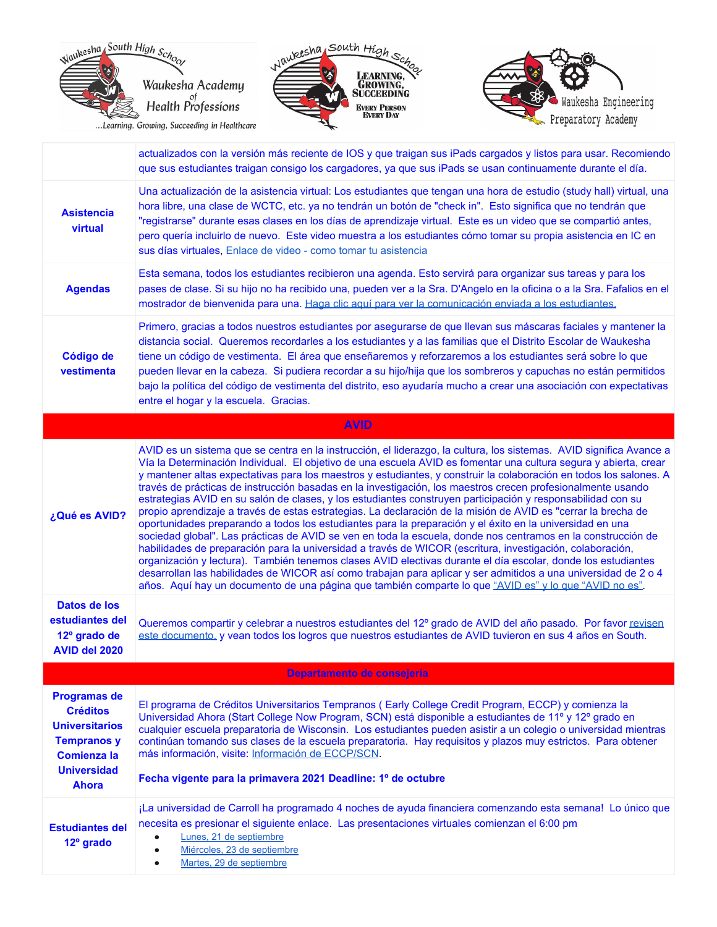





|                                                                                                                                                   | actualizados con la versión más reciente de IOS y que traigan sus iPads cargados y listos para usar. Recomiendo<br>que sus estudiantes traigan consigo los cargadores, ya que sus iPads se usan continuamente durante el día.                                                                                                                                                                                                                                                                                                                                                                                                                                                                                                                                                                                                                                                                                                                                                                                                                                                                                                                                                                                                                                                                                                                                                                     |
|---------------------------------------------------------------------------------------------------------------------------------------------------|---------------------------------------------------------------------------------------------------------------------------------------------------------------------------------------------------------------------------------------------------------------------------------------------------------------------------------------------------------------------------------------------------------------------------------------------------------------------------------------------------------------------------------------------------------------------------------------------------------------------------------------------------------------------------------------------------------------------------------------------------------------------------------------------------------------------------------------------------------------------------------------------------------------------------------------------------------------------------------------------------------------------------------------------------------------------------------------------------------------------------------------------------------------------------------------------------------------------------------------------------------------------------------------------------------------------------------------------------------------------------------------------------|
| <b>Asistencia</b><br>virtual                                                                                                                      | Una actualización de la asistencia virtual: Los estudiantes que tengan una hora de estudio (study hall) virtual, una<br>hora libre, una clase de WCTC, etc. ya no tendrán un botón de "check in". Esto significa que no tendrán que<br>"registrarse" durante esas clases en los días de aprendizaje virtual. Este es un video que se compartió antes,<br>pero quería incluirlo de nuevo. Este video muestra a los estudiantes cómo tomar su propia asistencia en IC en<br>sus días virtuales, Enlace de video - como tomar tu asistencia                                                                                                                                                                                                                                                                                                                                                                                                                                                                                                                                                                                                                                                                                                                                                                                                                                                          |
| <b>Agendas</b>                                                                                                                                    | Esta semana, todos los estudiantes recibieron una agenda. Esto servirá para organizar sus tareas y para los<br>pases de clase. Si su hijo no ha recibido una, pueden ver a la Sra. D'Angelo en la oficina o a la Sra. Fafalios en el<br>mostrador de bienvenida para una. Haga clic aquí para ver la comunicación enviada a los estudiantes.                                                                                                                                                                                                                                                                                                                                                                                                                                                                                                                                                                                                                                                                                                                                                                                                                                                                                                                                                                                                                                                      |
| Código de<br>vestimenta                                                                                                                           | Primero, gracias a todos nuestros estudiantes por asegurarse de que llevan sus máscaras faciales y mantener la<br>distancia social. Queremos recordarles a los estudiantes y a las familias que el Distrito Escolar de Waukesha<br>tiene un código de vestimenta. El área que enseñaremos y reforzaremos a los estudiantes será sobre lo que<br>pueden llevar en la cabeza. Si pudiera recordar a su hijo/hija que los sombreros y capuchas no están permitidos<br>bajo la política del código de vestimenta del distrito, eso ayudaría mucho a crear una asociación con expectativas<br>entre el hogar y la escuela. Gracias.                                                                                                                                                                                                                                                                                                                                                                                                                                                                                                                                                                                                                                                                                                                                                                    |
|                                                                                                                                                   | <b>AVID</b>                                                                                                                                                                                                                                                                                                                                                                                                                                                                                                                                                                                                                                                                                                                                                                                                                                                                                                                                                                                                                                                                                                                                                                                                                                                                                                                                                                                       |
| ¿Qué es AVID?                                                                                                                                     | AVID es un sistema que se centra en la instrucción, el liderazgo, la cultura, los sistemas. AVID significa Avance a<br>Vía la Determinación Individual. El objetivo de una escuela AVID es fomentar una cultura segura y abierta, crear<br>y mantener altas expectativas para los maestros y estudiantes, y construir la colaboración en todos los salones. A<br>través de prácticas de instrucción basadas en la investigación, los maestros crecen profesionalmente usando<br>estrategias AVID en su salón de clases, y los estudiantes construyen participación y responsabilidad con su<br>propio aprendizaje a través de estas estrategias. La declaración de la misión de AVID es "cerrar la brecha de<br>oportunidades preparando a todos los estudiantes para la preparación y el éxito en la universidad en una<br>sociedad global". Las prácticas de AVID se ven en toda la escuela, donde nos centramos en la construcción de<br>habilidades de preparación para la universidad a través de WICOR (escritura, investigación, colaboración,<br>organización y lectura). También tenemos clases AVID electivas durante el día escolar, donde los estudiantes<br>desarrollan las habilidades de WICOR así como trabajan para aplicar y ser admitidos a una universidad de 2 o 4<br>años. Aquí hay un documento de una página que también comparte lo que "AVID es" y lo que "AVID no es". |
| Datos de los<br>estudiantes del<br>12º grado de<br>AVID del 2020                                                                                  | Queremos compartir y celebrar a nuestros estudiantes del 12º grado de AVID del año pasado. Por favor revisen<br>este documento, y vean todos los logros que nuestros estudiantes de AVID tuvieron en sus 4 años en South.                                                                                                                                                                                                                                                                                                                                                                                                                                                                                                                                                                                                                                                                                                                                                                                                                                                                                                                                                                                                                                                                                                                                                                         |
|                                                                                                                                                   | Departamento de consejería                                                                                                                                                                                                                                                                                                                                                                                                                                                                                                                                                                                                                                                                                                                                                                                                                                                                                                                                                                                                                                                                                                                                                                                                                                                                                                                                                                        |
| <b>Programas de</b><br><b>Créditos</b><br><b>Universitarios</b><br><b>Tempranos y</b><br><b>Comienza la</b><br><b>Universidad</b><br><b>Ahora</b> | El programa de Créditos Universitarios Tempranos (Early College Credit Program, ECCP) y comienza la<br>Universidad Ahora (Start College Now Program, SCN) está disponible a estudiantes de 11º y 12º grado en<br>cualquier escuela preparatoria de Wisconsin. Los estudiantes pueden asistir a un colegio o universidad mientras<br>continúan tomando sus clases de la escuela preparatoria. Hay requisitos y plazos muy estrictos. Para obtener<br>más información, visite: Información de ECCP/SCN.<br>Fecha vigente para la primavera 2021 Deadline: 1º de octubre                                                                                                                                                                                                                                                                                                                                                                                                                                                                                                                                                                                                                                                                                                                                                                                                                             |
| <b>Estudiantes del</b><br>12 <sup>°</sup> grado                                                                                                   | ¡La universidad de Carroll ha programado 4 noches de ayuda financiera comenzando esta semana! Lo único que<br>necesita es presionar el siguiente enlace. Las presentaciones virtuales comienzan el 6:00 pm<br>Lunes, 21 de septiembre<br>$\bullet$<br>Miércoles, 23 de septiembre<br>$\bullet$<br>Martes, 29 de septiembre<br>$\bullet$                                                                                                                                                                                                                                                                                                                                                                                                                                                                                                                                                                                                                                                                                                                                                                                                                                                                                                                                                                                                                                                           |